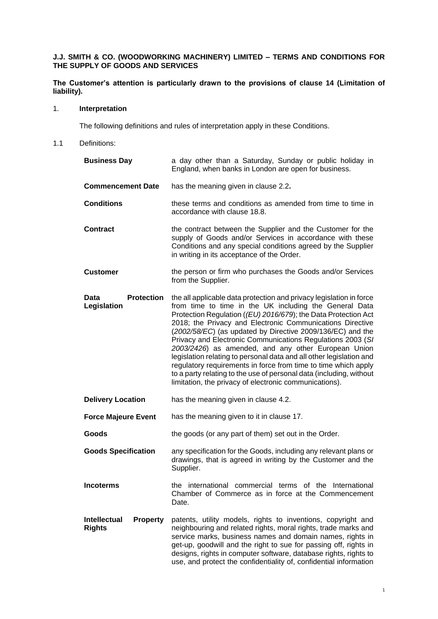# **J.J. SMITH & CO. (WOODWORKING MACHINERY) LIMITED – TERMS AND CONDITIONS FOR THE SUPPLY OF GOODS AND SERVICES**

# **The Customer's attention is particularly drawn to the provisions of clause [14](#page-11-0) (Limitation of liability).**

# 1. **Interpretation**

The following definitions and rules of interpretation apply in these Conditions.

1.1 Definitions:

| <b>Business Day</b>                                     | a day other than a Saturday, Sunday or public holiday in<br>England, when banks in London are open for business.                                                                                                                                                                                                                                                                                                                                                                                                                                                                                                                                                                                                          |
|---------------------------------------------------------|---------------------------------------------------------------------------------------------------------------------------------------------------------------------------------------------------------------------------------------------------------------------------------------------------------------------------------------------------------------------------------------------------------------------------------------------------------------------------------------------------------------------------------------------------------------------------------------------------------------------------------------------------------------------------------------------------------------------------|
| <b>Commencement Date</b>                                | has the meaning given in clause 2.2.                                                                                                                                                                                                                                                                                                                                                                                                                                                                                                                                                                                                                                                                                      |
| <b>Conditions</b>                                       | these terms and conditions as amended from time to time in<br>accordance with clause 18.8.                                                                                                                                                                                                                                                                                                                                                                                                                                                                                                                                                                                                                                |
| <b>Contract</b>                                         | the contract between the Supplier and the Customer for the<br>supply of Goods and/or Services in accordance with these<br>Conditions and any special conditions agreed by the Supplier<br>in writing in its acceptance of the Order.                                                                                                                                                                                                                                                                                                                                                                                                                                                                                      |
| <b>Customer</b>                                         | the person or firm who purchases the Goods and/or Services<br>from the Supplier.                                                                                                                                                                                                                                                                                                                                                                                                                                                                                                                                                                                                                                          |
| <b>Protection</b><br>Data<br>Legislation                | the all applicable data protection and privacy legislation in force<br>from time to time in the UK including the General Data<br>Protection Regulation ((EU) 2016/679); the Data Protection Act<br>2018; the Privacy and Electronic Communications Directive<br>(2002/58/EC) (as updated by Directive 2009/136/EC) and the<br>Privacy and Electronic Communications Regulations 2003 (SI<br>2003/2426) as amended, and any other European Union<br>legislation relating to personal data and all other legislation and<br>regulatory requirements in force from time to time which apply<br>to a party relating to the use of personal data (including, without<br>limitation, the privacy of electronic communications). |
| <b>Delivery Location</b>                                | has the meaning given in clause 4.2.                                                                                                                                                                                                                                                                                                                                                                                                                                                                                                                                                                                                                                                                                      |
| <b>Force Majeure Event</b>                              | has the meaning given to it in clause 17.                                                                                                                                                                                                                                                                                                                                                                                                                                                                                                                                                                                                                                                                                 |
| Goods                                                   | the goods (or any part of them) set out in the Order.                                                                                                                                                                                                                                                                                                                                                                                                                                                                                                                                                                                                                                                                     |
| <b>Goods Specification</b>                              | any specification for the Goods, including any relevant plans or<br>drawings, that is agreed in writing by the Customer and the<br>Supplier.                                                                                                                                                                                                                                                                                                                                                                                                                                                                                                                                                                              |
| <b>Incoterms</b>                                        | the international commercial terms of the International<br>Chamber of Commerce as in force at the Commencement<br>Date.                                                                                                                                                                                                                                                                                                                                                                                                                                                                                                                                                                                                   |
| <b>Intellectual</b><br><b>Property</b><br><b>Rights</b> | patents, utility models, rights to inventions, copyright and<br>neighbouring and related rights, moral rights, trade marks and<br>service marks, business names and domain names, rights in<br>get-up, goodwill and the right to sue for passing off, rights in<br>designs, rights in computer software, database rights, rights to<br>use, and protect the confidentiality of, confidential information                                                                                                                                                                                                                                                                                                                  |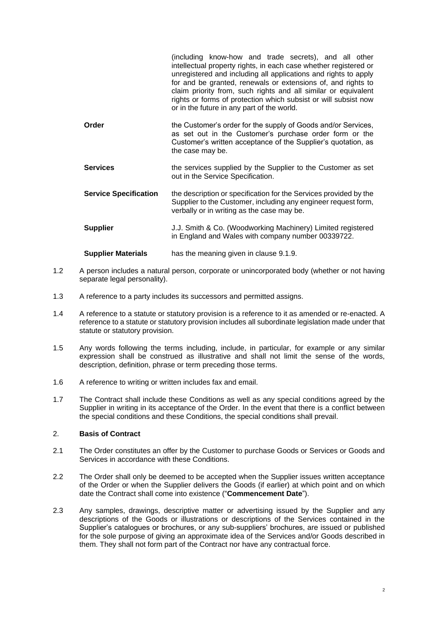|                              | (including know-how and trade secrets), and all other<br>intellectual property rights, in each case whether registered or<br>unregistered and including all applications and rights to apply<br>for and be granted, renewals or extensions of, and rights to<br>claim priority from, such rights and all similar or equivalent<br>rights or forms of protection which subsist or will subsist now<br>or in the future in any part of the world. |
|------------------------------|-------------------------------------------------------------------------------------------------------------------------------------------------------------------------------------------------------------------------------------------------------------------------------------------------------------------------------------------------------------------------------------------------------------------------------------------------|
| Order                        | the Customer's order for the supply of Goods and/or Services,<br>as set out in the Customer's purchase order form or the<br>Customer's written acceptance of the Supplier's quotation, as<br>the case may be.                                                                                                                                                                                                                                   |
| <b>Services</b>              | the services supplied by the Supplier to the Customer as set<br>out in the Service Specification.                                                                                                                                                                                                                                                                                                                                               |
| <b>Service Specification</b> | the description or specification for the Services provided by the<br>Supplier to the Customer, including any engineer request form,<br>verbally or in writing as the case may be.                                                                                                                                                                                                                                                               |
| <b>Supplier</b>              | J.J. Smith & Co. (Woodworking Machinery) Limited registered<br>in England and Wales with company number 00339722.                                                                                                                                                                                                                                                                                                                               |
| <b>Supplier Materials</b>    | has the meaning given in clause 9.1.9.                                                                                                                                                                                                                                                                                                                                                                                                          |

- 1.2 A person includes a natural person, corporate or unincorporated body (whether or not having separate legal personality).
- 1.3 A reference to a party includes its successors and permitted assigns.
- 1.4 A reference to a statute or statutory provision is a reference to it as amended or re-enacted. A reference to a statute or statutory provision includes all subordinate legislation made under that statute or statutory provision.
- 1.5 Any words following the terms including, include, in particular, for example or any similar expression shall be construed as illustrative and shall not limit the sense of the words, description, definition, phrase or term preceding those terms.
- 1.6 A reference to writing or written includes fax and email.
- 1.7 The Contract shall include these Conditions as well as any special conditions agreed by the Supplier in writing in its acceptance of the Order. In the event that there is a conflict between the special conditions and these Conditions, the special conditions shall prevail.

## 2. **Basis of Contract**

- 2.1 The Order constitutes an offer by the Customer to purchase Goods or Services or Goods and Services in accordance with these Conditions.
- <span id="page-1-0"></span>2.2 The Order shall only be deemed to be accepted when the Supplier issues written acceptance of the Order or when the Supplier delivers the Goods (if earlier) at which point and on which date the Contract shall come into existence ("**Commencement Date**").
- 2.3 Any samples, drawings, descriptive matter or advertising issued by the Supplier and any descriptions of the Goods or illustrations or descriptions of the Services contained in the Supplier's catalogues or brochures, or any sub-suppliers' brochures, are issued or published for the sole purpose of giving an approximate idea of the Services and/or Goods described in them. They shall not form part of the Contract nor have any contractual force.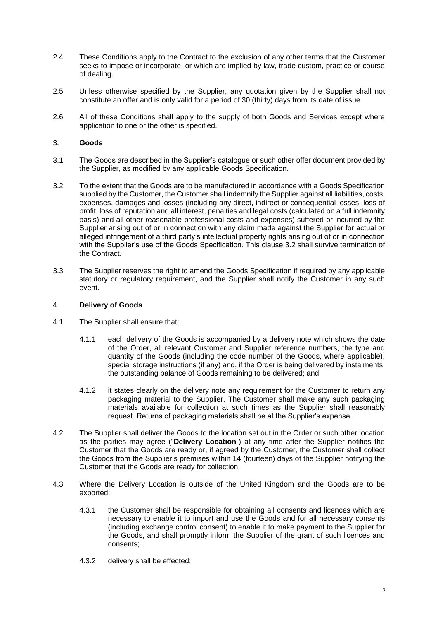- 2.4 These Conditions apply to the Contract to the exclusion of any other terms that the Customer seeks to impose or incorporate, or which are implied by law, trade custom, practice or course of dealing.
- 2.5 Unless otherwise specified by the Supplier, any quotation given by the Supplier shall not constitute an offer and is only valid for a period of 30 (thirty) days from its date of issue.
- 2.6 All of these Conditions shall apply to the supply of both Goods and Services except where application to one or the other is specified.

## 3. **Goods**

- 3.1 The Goods are described in the Supplier's catalogue or such other offer document provided by the Supplier, as modified by any applicable Goods Specification.
- <span id="page-2-1"></span>3.2 To the extent that the Goods are to be manufactured in accordance with a Goods Specification supplied by the Customer, the Customer shall indemnify the Supplier against all liabilities, costs, expenses, damages and losses (including any direct, indirect or consequential losses, loss of profit, loss of reputation and all interest, penalties and legal costs (calculated on a full indemnity basis) and all other reasonable professional costs and expenses) suffered or incurred by the Supplier arising out of or in connection with any claim made against the Supplier for actual or alleged infringement of a third party's intellectual property rights arising out of or in connection with the Supplier's use of the Goods Specification. This clause [3.2](#page-2-1) shall survive termination of the Contract.
- 3.3 The Supplier reserves the right to amend the Goods Specification if required by any applicable statutory or regulatory requirement, and the Supplier shall notify the Customer in any such event.

## 4. **Delivery of Goods**

- 4.1 The Supplier shall ensure that:
	- 4.1.1 each delivery of the Goods is accompanied by a delivery note which shows the date of the Order, all relevant Customer and Supplier reference numbers, the type and quantity of the Goods (including the code number of the Goods, where applicable), special storage instructions (if any) and, if the Order is being delivered by instalments, the outstanding balance of Goods remaining to be delivered; and
	- 4.1.2 it states clearly on the delivery note any requirement for the Customer to return any packaging material to the Supplier. The Customer shall make any such packaging materials available for collection at such times as the Supplier shall reasonably request. Returns of packaging materials shall be at the Supplier's expense.
- <span id="page-2-0"></span>4.2 The Supplier shall deliver the Goods to the location set out in the Order or such other location as the parties may agree ("**Delivery Location**") at any time after the Supplier notifies the Customer that the Goods are ready or, if agreed by the Customer, the Customer shall collect the Goods from the Supplier's premises within 14 (fourteen) days of the Supplier notifying the Customer that the Goods are ready for collection.
- <span id="page-2-2"></span>4.3 Where the Delivery Location is outside of the United Kingdom and the Goods are to be exported:
	- 4.3.1 the Customer shall be responsible for obtaining all consents and licences which are necessary to enable it to import and use the Goods and for all necessary consents (including exchange control consent) to enable it to make payment to the Supplier for the Goods, and shall promptly inform the Supplier of the grant of such licences and consents;
	- 4.3.2 delivery shall be effected: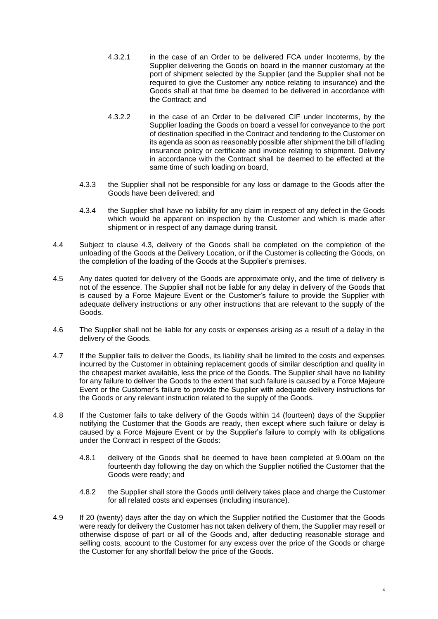- 4.3.2.1 in the case of an Order to be delivered FCA under Incoterms, by the Supplier delivering the Goods on board in the manner customary at the port of shipment selected by the Supplier (and the Supplier shall not be required to give the Customer any notice relating to insurance) and the Goods shall at that time be deemed to be delivered in accordance with the Contract; and
- 4.3.2.2 in the case of an Order to be delivered CIF under Incoterms, by the Supplier loading the Goods on board a vessel for conveyance to the port of destination specified in the Contract and tendering to the Customer on its agenda as soon as reasonably possible after shipment the bill of lading insurance policy or certificate and invoice relating to shipment. Delivery in accordance with the Contract shall be deemed to be effected at the same time of such loading on board,
- 4.3.3 the Supplier shall not be responsible for any loss or damage to the Goods after the Goods have been delivered; and
- 4.3.4 the Supplier shall have no liability for any claim in respect of any defect in the Goods which would be apparent on inspection by the Customer and which is made after shipment or in respect of any damage during transit.
- 4.4 Subject to clause [4.3,](#page-2-2) delivery of the Goods shall be completed on the completion of the unloading of the Goods at the Delivery Location, or if the Customer is collecting the Goods, on the completion of the loading of the Goods at the Supplier's premises.
- 4.5 Any dates quoted for delivery of the Goods are approximate only, and the time of delivery is not of the essence. The Supplier shall not be liable for any delay in delivery of the Goods that is caused by a Force Majeure Event or the Customer's failure to provide the Supplier with adequate delivery instructions or any other instructions that are relevant to the supply of the Goods.
- 4.6 The Supplier shall not be liable for any costs or expenses arising as a result of a delay in the delivery of the Goods.
- <span id="page-3-0"></span>4.7 If the Supplier fails to deliver the Goods, its liability shall be limited to the costs and expenses incurred by the Customer in obtaining replacement goods of similar description and quality in the cheapest market available, less the price of the Goods. The Supplier shall have no liability for any failure to deliver the Goods to the extent that such failure is caused by a Force Majeure Event or the Customer's failure to provide the Supplier with adequate delivery instructions for the Goods or any relevant instruction related to the supply of the Goods.
- 4.8 If the Customer fails to take delivery of the Goods within 14 (fourteen) days of the Supplier notifying the Customer that the Goods are ready, then except where such failure or delay is caused by a Force Majeure Event or by the Supplier's failure to comply with its obligations under the Contract in respect of the Goods:
	- 4.8.1 delivery of the Goods shall be deemed to have been completed at 9.00am on the fourteenth day following the day on which the Supplier notified the Customer that the Goods were ready; and
	- 4.8.2 the Supplier shall store the Goods until delivery takes place and charge the Customer for all related costs and expenses (including insurance).
- 4.9 If 20 (twenty) days after the day on which the Supplier notified the Customer that the Goods were ready for delivery the Customer has not taken delivery of them, the Supplier may resell or otherwise dispose of part or all of the Goods and, after deducting reasonable storage and selling costs, account to the Customer for any excess over the price of the Goods or charge the Customer for any shortfall below the price of the Goods.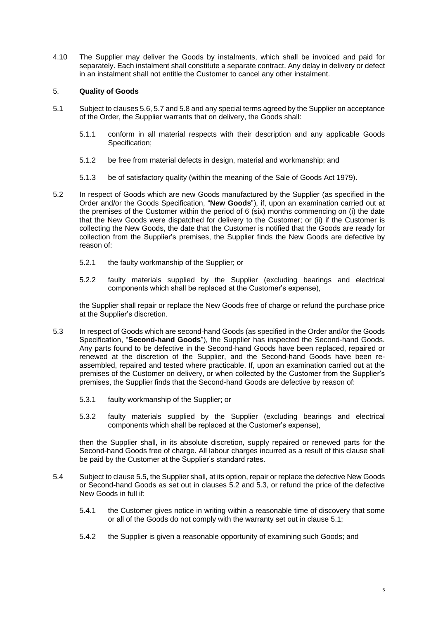4.10 The Supplier may deliver the Goods by instalments, which shall be invoiced and paid for separately. Each instalment shall constitute a separate contract. Any delay in delivery or defect in an instalment shall not entitle the Customer to cancel any other instalment.

# <span id="page-4-4"></span>5. **Quality of Goods**

- <span id="page-4-2"></span>5.1 Subject to clause[s 5.6,](#page-5-0) [5.7](#page-5-1) and [5.8](#page-5-2) and any special terms agreed by the Supplier on acceptance of the Order, the Supplier warrants that on delivery, the Goods shall:
	- 5.1.1 conform in all material respects with their description and any applicable Goods Specification;
	- 5.1.2 be free from material defects in design, material and workmanship; and
	- 5.1.3 be of satisfactory quality (within the meaning of the Sale of Goods Act 1979).
- <span id="page-4-0"></span>5.2 In respect of Goods which are new Goods manufactured by the Supplier (as specified in the Order and/or the Goods Specification, "**New Goods**"), if, upon an examination carried out at the premises of the Customer within the period of 6 (six) months commencing on (i) the date that the New Goods were dispatched for delivery to the Customer; or (ii) if the Customer is collecting the New Goods, the date that the Customer is notified that the Goods are ready for collection from the Supplier's premises, the Supplier finds the New Goods are defective by reason of:
	- 5.2.1 the faulty workmanship of the Supplier; or
	- 5.2.2 faulty materials supplied by the Supplier (excluding bearings and electrical components which shall be replaced at the Customer's expense),

the Supplier shall repair or replace the New Goods free of charge or refund the purchase price at the Supplier's discretion.

- <span id="page-4-1"></span>5.3 In respect of Goods which are second-hand Goods (as specified in the Order and/or the Goods Specification, "**Second-hand Goods**"), the Supplier has inspected the Second-hand Goods. Any parts found to be defective in the Second-hand Goods have been replaced, repaired or renewed at the discretion of the Supplier, and the Second-hand Goods have been reassembled, repaired and tested where practicable. If, upon an examination carried out at the premises of the Customer on delivery, or when collected by the Customer from the Supplier's premises, the Supplier finds that the Second-hand Goods are defective by reason of:
	- 5.3.1 faulty workmanship of the Supplier; or
	- 5.3.2 faulty materials supplied by the Supplier (excluding bearings and electrical components which shall be replaced at the Customer's expense),

then the Supplier shall, in its absolute discretion, supply repaired or renewed parts for the Second-hand Goods free of charge. All labour charges incurred as a result of this clause shall be paid by the Customer at the Supplier's standard rates.

- <span id="page-4-3"></span>5.4 Subject to claus[e 5.5,](#page-5-3) the Supplier shall, at its option, repair or replace the defective New Goods or Second-hand Goods as set out in clauses [5.2](#page-4-0) and [5.3,](#page-4-1) or refund the price of the defective New Goods in full if:
	- 5.4.1 the Customer gives notice in writing within a reasonable time of discovery that some or all of the Goods do not comply with the warranty set out in clause [5.1;](#page-4-2)
	- 5.4.2 the Supplier is given a reasonable opportunity of examining such Goods; and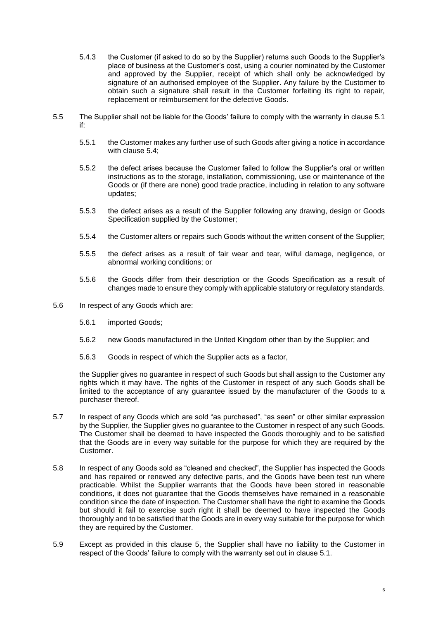- 5.4.3 the Customer (if asked to do so by the Supplier) returns such Goods to the Supplier's place of business at the Customer's cost, using a courier nominated by the Customer and approved by the Supplier, receipt of which shall only be acknowledged by signature of an authorised employee of the Supplier. Any failure by the Customer to obtain such a signature shall result in the Customer forfeiting its right to repair, replacement or reimbursement for the defective Goods.
- <span id="page-5-3"></span>5.5 The Supplier shall not be liable for the Goods' failure to comply with the warranty in clause [5.1](#page-4-2) if:
	- 5.5.1 the Customer makes any further use of such Goods after giving a notice in accordance with clause [5.4;](#page-4-3)
	- 5.5.2 the defect arises because the Customer failed to follow the Supplier's oral or written instructions as to the storage, installation, commissioning, use or maintenance of the Goods or (if there are none) good trade practice, including in relation to any software updates;
	- 5.5.3 the defect arises as a result of the Supplier following any drawing, design or Goods Specification supplied by the Customer;
	- 5.5.4 the Customer alters or repairs such Goods without the written consent of the Supplier;
	- 5.5.5 the defect arises as a result of fair wear and tear, wilful damage, negligence, or abnormal working conditions; or
	- 5.5.6 the Goods differ from their description or the Goods Specification as a result of changes made to ensure they comply with applicable statutory or regulatory standards.
- <span id="page-5-0"></span>5.6 In respect of any Goods which are:
	- 5.6.1 imported Goods;
	- 5.6.2 new Goods manufactured in the United Kingdom other than by the Supplier; and
	- 5.6.3 Goods in respect of which the Supplier acts as a factor,

the Supplier gives no guarantee in respect of such Goods but shall assign to the Customer any rights which it may have. The rights of the Customer in respect of any such Goods shall be limited to the acceptance of any guarantee issued by the manufacturer of the Goods to a purchaser thereof.

- <span id="page-5-1"></span>5.7 In respect of any Goods which are sold "as purchased", "as seen" or other similar expression by the Supplier, the Supplier gives no guarantee to the Customer in respect of any such Goods. The Customer shall be deemed to have inspected the Goods thoroughly and to be satisfied that the Goods are in every way suitable for the purpose for which they are required by the Customer.
- <span id="page-5-2"></span>5.8 In respect of any Goods sold as "cleaned and checked", the Supplier has inspected the Goods and has repaired or renewed any defective parts, and the Goods have been test run where practicable. Whilst the Supplier warrants that the Goods have been stored in reasonable conditions, it does not guarantee that the Goods themselves have remained in a reasonable condition since the date of inspection. The Customer shall have the right to examine the Goods but should it fail to exercise such right it shall be deemed to have inspected the Goods thoroughly and to be satisfied that the Goods are in every way suitable for the purpose for which they are required by the Customer.
- 5.9 Except as provided in this clause [5,](#page-4-4) the Supplier shall have no liability to the Customer in respect of the Goods' failure to comply with the warranty set out in clause [5.1.](#page-4-2)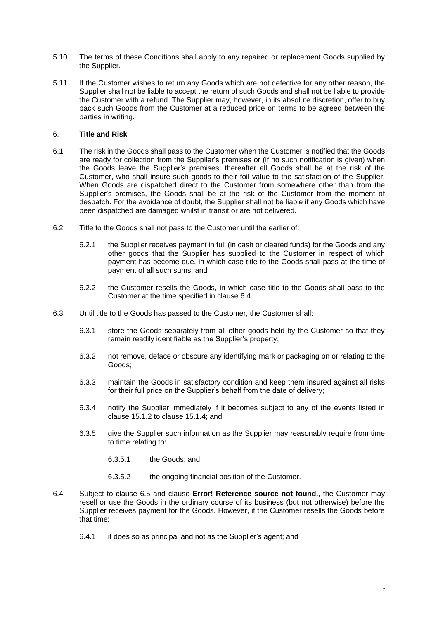- 5.10 The terms of these Conditions shall apply to any repaired or replacement Goods supplied by the Supplier.
- 5.11 If the Customer wishes to return any Goods which are not defective for any other reason, the Supplier shall not be liable to accept the return of such Goods and shall not be liable to provide the Customer with a refund. The Supplier may, however, in its absolute discretion, offer to buy back such Goods from the Customer at a reduced price on terms to be agreed between the parties in writing.

# 6. **Title and Risk**

- 6.1 The risk in the Goods shall pass to the Customer when the Customer is notified that the Goods are ready for collection from the Supplier's premises or (if no such notification is given) when the Goods leave the Supplier's premises; thereafter all Goods shall be at the risk of the Customer, who shall insure such goods to their foil value to the satisfaction of the Supplier. When Goods are dispatched direct to the Customer from somewhere other than from the Supplier's premises, the Goods shall be at the risk of the Customer from the moment of despatch. For the avoidance of doubt, the Supplier shall not be liable if any Goods which have been dispatched are damaged whilst in transit or are not delivered.
- 6.2 Title to the Goods shall not pass to the Customer until the earlier of:
	- 6.2.1 the Supplier receives payment in full (in cash or cleared funds) for the Goods and any other goods that the Supplier has supplied to the Customer in respect of which payment has become due, in which case title to the Goods shall pass at the time of payment of all such sums; and
	- 6.2.2 the Customer resells the Goods, in which case title to the Goods shall pass to the Customer at the time specified in clause [6.4.](#page-6-0)
- 6.3 Until title to the Goods has passed to the Customer, the Customer shall:
	- 6.3.1 store the Goods separately from all other goods held by the Customer so that they remain readily identifiable as the Supplier's property;
	- 6.3.2 not remove, deface or obscure any identifying mark or packaging on or relating to the Goods;
	- 6.3.3 maintain the Goods in satisfactory condition and keep them insured against all risks for their full price on the Supplier's behalf from the date of delivery;
	- 6.3.4 notify the Supplier immediately if it becomes subject to any of the events listed in clause [15.1.2](#page-12-0) to clause [15.1.4;](#page-12-1) and
	- 6.3.5 give the Supplier such information as the Supplier may reasonably require from time to time relating to:
		- 6.3.5.1 the Goods; and
		- 6.3.5.2 the ongoing financial position of the Customer.
- <span id="page-6-0"></span>6.4 Subject to clause [6.5](#page-7-0) and clause **Error! Reference source not found.**, the Customer may resell or use the Goods in the ordinary course of its business (but not otherwise) before the Supplier receives payment for the Goods. However, if the Customer resells the Goods before that time:
	- 6.4.1 it does so as principal and not as the Supplier's agent; and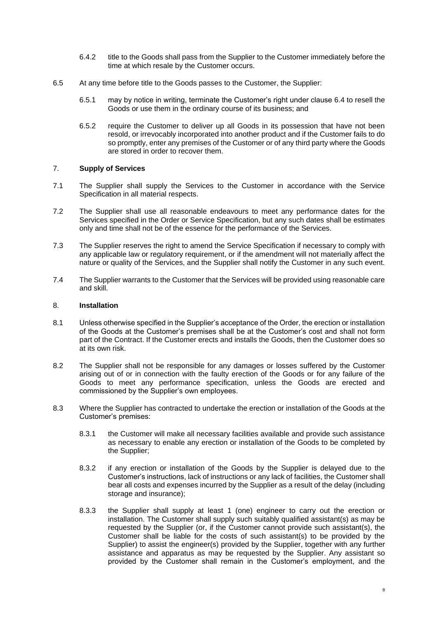- 6.4.2 title to the Goods shall pass from the Supplier to the Customer immediately before the time at which resale by the Customer occurs.
- <span id="page-7-0"></span>6.5 At any time before title to the Goods passes to the Customer, the Supplier:
	- 6.5.1 may by notice in writing, terminate the Customer's right under clause [6.4](#page-6-0) to resell the Goods or use them in the ordinary course of its business; and
	- 6.5.2 require the Customer to deliver up all Goods in its possession that have not been resold, or irrevocably incorporated into another product and if the Customer fails to do so promptly, enter any premises of the Customer or of any third party where the Goods are stored in order to recover them.

# <span id="page-7-1"></span>7. **Supply of Services**

- 7.1 The Supplier shall supply the Services to the Customer in accordance with the Service Specification in all material respects.
- 7.2 The Supplier shall use all reasonable endeavours to meet any performance dates for the Services specified in the Order or Service Specification, but any such dates shall be estimates only and time shall not be of the essence for the performance of the Services.
- 7.3 The Supplier reserves the right to amend the Service Specification if necessary to comply with any applicable law or regulatory requirement, or if the amendment will not materially affect the nature or quality of the Services, and the Supplier shall notify the Customer in any such event.
- 7.4 The Supplier warrants to the Customer that the Services will be provided using reasonable care and skill.

### 8. **Installation**

- 8.1 Unless otherwise specified in the Supplier's acceptance of the Order, the erection or installation of the Goods at the Customer's premises shall be at the Customer's cost and shall not form part of the Contract. If the Customer erects and installs the Goods, then the Customer does so at its own risk.
- 8.2 The Supplier shall not be responsible for any damages or losses suffered by the Customer arising out of or in connection with the faulty erection of the Goods or for any failure of the Goods to meet any performance specification, unless the Goods are erected and commissioned by the Supplier's own employees.
- 8.3 Where the Supplier has contracted to undertake the erection or installation of the Goods at the Customer's premises:
	- 8.3.1 the Customer will make all necessary facilities available and provide such assistance as necessary to enable any erection or installation of the Goods to be completed by the Supplier;
	- 8.3.2 if any erection or installation of the Goods by the Supplier is delayed due to the Customer's instructions, lack of instructions or any lack of facilities, the Customer shall bear all costs and expenses incurred by the Supplier as a result of the delay (including storage and insurance);
	- 8.3.3 the Supplier shall supply at least 1 (one) engineer to carry out the erection or installation. The Customer shall supply such suitably qualified assistant(s) as may be requested by the Supplier (or, if the Customer cannot provide such assistant(s), the Customer shall be liable for the costs of such assistant(s) to be provided by the Supplier) to assist the engineer(s) provided by the Supplier, together with any further assistance and apparatus as may be requested by the Supplier. Any assistant so provided by the Customer shall remain in the Customer's employment, and the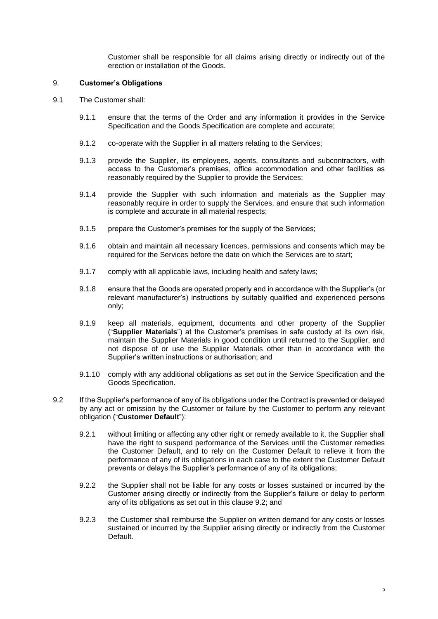Customer shall be responsible for all claims arising directly or indirectly out of the erection or installation of the Goods.

### 9. **Customer's Obligations**

- 9.1 The Customer shall:
	- 9.1.1 ensure that the terms of the Order and any information it provides in the Service Specification and the Goods Specification are complete and accurate;
	- 9.1.2 co-operate with the Supplier in all matters relating to the Services;
	- 9.1.3 provide the Supplier, its employees, agents, consultants and subcontractors, with access to the Customer's premises, office accommodation and other facilities as reasonably required by the Supplier to provide the Services;
	- 9.1.4 provide the Supplier with such information and materials as the Supplier may reasonably require in order to supply the Services, and ensure that such information is complete and accurate in all material respects;
	- 9.1.5 prepare the Customer's premises for the supply of the Services;
	- 9.1.6 obtain and maintain all necessary licences, permissions and consents which may be required for the Services before the date on which the Services are to start;
	- 9.1.7 comply with all applicable laws, including health and safety laws;
	- 9.1.8 ensure that the Goods are operated properly and in accordance with the Supplier's (or relevant manufacturer's) instructions by suitably qualified and experienced persons only;
	- 9.1.9 keep all materials, equipment, documents and other property of the Supplier ("**Supplier Materials**") at the Customer's premises in safe custody at its own risk, maintain the Supplier Materials in good condition until returned to the Supplier, and not dispose of or use the Supplier Materials other than in accordance with the Supplier's written instructions or authorisation; and
	- 9.1.10 comply with any additional obligations as set out in the Service Specification and the Goods Specification.
- <span id="page-8-1"></span><span id="page-8-0"></span>9.2 If the Supplier's performance of any of its obligations under the Contract is prevented or delayed by any act or omission by the Customer or failure by the Customer to perform any relevant obligation ("**Customer Default**"):
	- 9.2.1 without limiting or affecting any other right or remedy available to it, the Supplier shall have the right to suspend performance of the Services until the Customer remedies the Customer Default, and to rely on the Customer Default to relieve it from the performance of any of its obligations in each case to the extent the Customer Default prevents or delays the Supplier's performance of any of its obligations;
	- 9.2.2 the Supplier shall not be liable for any costs or losses sustained or incurred by the Customer arising directly or indirectly from the Supplier's failure or delay to perform any of its obligations as set out in this clause [9.2;](#page-8-1) and
	- 9.2.3 the Customer shall reimburse the Supplier on written demand for any costs or losses sustained or incurred by the Supplier arising directly or indirectly from the Customer Default.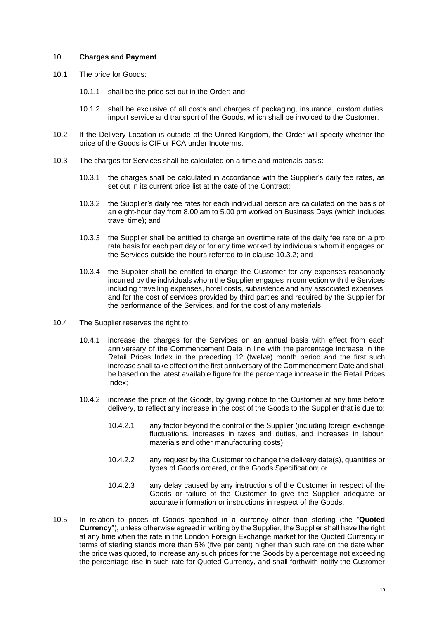### 10. **Charges and Payment**

- 10.1 The price for Goods:
	- 10.1.1 shall be the price set out in the Order; and
	- 10.1.2 shall be exclusive of all costs and charges of packaging, insurance, custom duties, import service and transport of the Goods, which shall be invoiced to the Customer.
- 10.2 If the Delivery Location is outside of the United Kingdom, the Order will specify whether the price of the Goods is CIF or FCA under Incoterms.
- <span id="page-9-0"></span>10.3 The charges for Services shall be calculated on a time and materials basis:
	- 10.3.1 the charges shall be calculated in accordance with the Supplier's daily fee rates, as set out in its current price list at the date of the Contract:
	- 10.3.2 the Supplier's daily fee rates for each individual person are calculated on the basis of an eight-hour day from 8.00 am to 5.00 pm worked on Business Days (which includes travel time); and
	- 10.3.3 the Supplier shall be entitled to charge an overtime rate of the daily fee rate on a pro rata basis for each part day or for any time worked by individuals whom it engages on the Services outside the hours referred to in clause [10.3.2;](#page-9-0) and
	- 10.3.4 the Supplier shall be entitled to charge the Customer for any expenses reasonably incurred by the individuals whom the Supplier engages in connection with the Services including travelling expenses, hotel costs, subsistence and any associated expenses, and for the cost of services provided by third parties and required by the Supplier for the performance of the Services, and for the cost of any materials.
- 10.4 The Supplier reserves the right to:
	- 10.4.1 increase the charges for the Services on an annual basis with effect from each anniversary of the Commencement Date in line with the percentage increase in the Retail Prices Index in the preceding 12 (twelve) month period and the first such increase shall take effect on the first anniversary of the Commencement Date and shall be based on the latest available figure for the percentage increase in the Retail Prices Index;
	- 10.4.2 increase the price of the Goods, by giving notice to the Customer at any time before delivery, to reflect any increase in the cost of the Goods to the Supplier that is due to:
		- 10.4.2.1 any factor beyond the control of the Supplier (including foreign exchange fluctuations, increases in taxes and duties, and increases in labour, materials and other manufacturing costs);
		- 10.4.2.2 any request by the Customer to change the delivery date(s), quantities or types of Goods ordered, or the Goods Specification; or
		- 10.4.2.3 any delay caused by any instructions of the Customer in respect of the Goods or failure of the Customer to give the Supplier adequate or accurate information or instructions in respect of the Goods.
- 10.5 In relation to prices of Goods specified in a currency other than sterling (the "**Quoted Currency**"), unless otherwise agreed in writing by the Supplier, the Supplier shall have the right at any time when the rate in the London Foreign Exchange market for the Quoted Currency in terms of sterling stands more than 5% (five per cent) higher than such rate on the date when the price was quoted, to increase any such prices for the Goods by a percentage not exceeding the percentage rise in such rate for Quoted Currency, and shall forthwith notify the Customer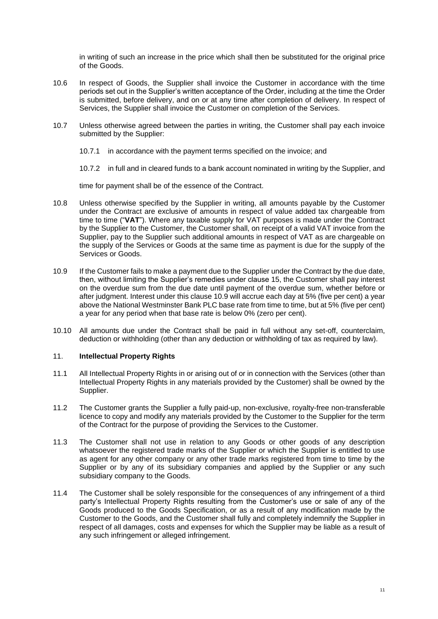in writing of such an increase in the price which shall then be substituted for the original price of the Goods.

- 10.6 In respect of Goods, the Supplier shall invoice the Customer in accordance with the time periods set out in the Supplier's written acceptance of the Order, including at the time the Order is submitted, before delivery, and on or at any time after completion of delivery. In respect of Services, the Supplier shall invoice the Customer on completion of the Services.
- 10.7 Unless otherwise agreed between the parties in writing, the Customer shall pay each invoice submitted by the Supplier:
	- 10.7.1 in accordance with the payment terms specified on the invoice; and

10.7.2 in full and in cleared funds to a bank account nominated in writing by the Supplier, and

time for payment shall be of the essence of the Contract.

- 10.8 Unless otherwise specified by the Supplier in writing, all amounts payable by the Customer under the Contract are exclusive of amounts in respect of value added tax chargeable from time to time ("**VAT**"). Where any taxable supply for VAT purposes is made under the Contract by the Supplier to the Customer, the Customer shall, on receipt of a valid VAT invoice from the Supplier, pay to the Supplier such additional amounts in respect of VAT as are chargeable on the supply of the Services or Goods at the same time as payment is due for the supply of the Services or Goods.
- <span id="page-10-0"></span>10.9 If the Customer fails to make a payment due to the Supplier under the Contract by the due date, then, without limiting the Supplier's remedies under clause [15,](#page-12-2) the Customer shall pay interest on the overdue sum from the due date until payment of the overdue sum, whether before or after judgment. Interest under this claus[e 10.9](#page-10-0) will accrue each day at 5% (five per cent) a year above the National Westminster Bank PLC base rate from time to time, but at 5% (five per cent) a year for any period when that base rate is below 0% (zero per cent).
- 10.10 All amounts due under the Contract shall be paid in full without any set-off, counterclaim, deduction or withholding (other than any deduction or withholding of tax as required by law).

# 11. **Intellectual Property Rights**

- 11.1 All Intellectual Property Rights in or arising out of or in connection with the Services (other than Intellectual Property Rights in any materials provided by the Customer) shall be owned by the Supplier.
- 11.2 The Customer grants the Supplier a fully paid-up, non-exclusive, royalty-free non-transferable licence to copy and modify any materials provided by the Customer to the Supplier for the term of the Contract for the purpose of providing the Services to the Customer.
- 11.3 The Customer shall not use in relation to any Goods or other goods of any description whatsoever the registered trade marks of the Supplier or which the Supplier is entitled to use as agent for any other company or any other trade marks registered from time to time by the Supplier or by any of its subsidiary companies and applied by the Supplier or any such subsidiary company to the Goods.
- 11.4 The Customer shall be solely responsible for the consequences of any infringement of a third party's Intellectual Property Rights resulting from the Customer's use or sale of any of the Goods produced to the Goods Specification, or as a result of any modification made by the Customer to the Goods, and the Customer shall fully and completely indemnify the Supplier in respect of all damages, costs and expenses for which the Supplier may be liable as a result of any such infringement or alleged infringement.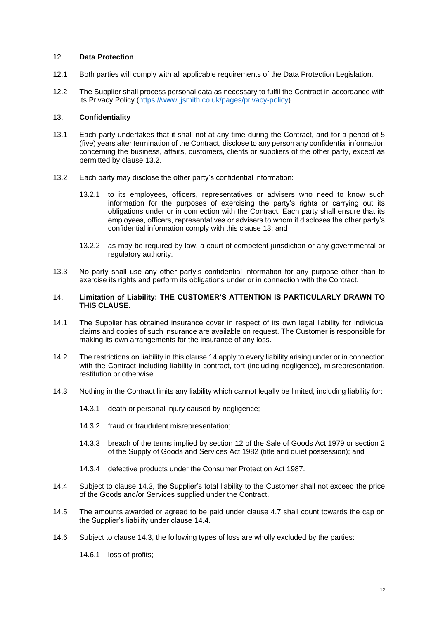## 12. **Data Protection**

- 12.1 Both parties will comply with all applicable requirements of the Data Protection Legislation.
- 12.2 The Supplier shall process personal data as necessary to fulfil the Contract in accordance with its Privacy Policy [\(https://www.jjsmith.co.uk/pages/privacy-policy\)](https://www.jjsmith.co.uk/pages/privacy-policy).

## <span id="page-11-2"></span>13. **Confidentiality**

- 13.1 Each party undertakes that it shall not at any time during the Contract, and for a period of 5 (five) years after termination of the Contract, disclose to any person any confidential information concerning the business, affairs, customers, clients or suppliers of the other party, except as permitted by clause [13.2.](#page-11-1)
- <span id="page-11-1"></span>13.2 Each party may disclose the other party's confidential information:
	- 13.2.1 to its employees, officers, representatives or advisers who need to know such information for the purposes of exercising the party's rights or carrying out its obligations under or in connection with the Contract. Each party shall ensure that its employees, officers, representatives or advisers to whom it discloses the other party's confidential information comply with this clause [13;](#page-11-2) and
	- 13.2.2 as may be required by law, a court of competent jurisdiction or any governmental or regulatory authority.
- 13.3 No party shall use any other party's confidential information for any purpose other than to exercise its rights and perform its obligations under or in connection with the Contract.

### <span id="page-11-0"></span>14. **Limitation of Liability: THE CUSTOMER'S ATTENTION IS PARTICULARLY DRAWN TO THIS CLAUSE.**

- 14.1 The Supplier has obtained insurance cover in respect of its own legal liability for individual claims and copies of such insurance are available on request. The Customer is responsible for making its own arrangements for the insurance of any loss.
- 14.2 The restrictions on liability in this clause [14](#page-11-0) apply to every liability arising under or in connection with the Contract including liability in contract, tort (including negligence), misrepresentation, restitution or otherwise.
- <span id="page-11-3"></span>14.3 Nothing in the Contract limits any liability which cannot legally be limited, including liability for:
	- 14.3.1 death or personal injury caused by negligence;
	- 14.3.2 fraud or fraudulent misrepresentation;
	- 14.3.3 breach of the terms implied by section 12 of the Sale of Goods Act 1979 or section 2 of the Supply of Goods and Services Act 1982 (title and quiet possession); and
	- 14.3.4 defective products under the Consumer Protection Act 1987.
- <span id="page-11-4"></span>14.4 Subject to clause [14.3,](#page-11-3) the Supplier's total liability to the Customer shall not exceed the price of the Goods and/or Services supplied under the Contract.
- 14.5 The amounts awarded or agreed to be paid under clause [4.7](#page-3-0) shall count towards the cap on the Supplier's liability under clause [14.4.](#page-11-4)
- 14.6 Subject to clause [14.3,](#page-11-3) the following types of loss are wholly excluded by the parties:
	- 14.6.1 loss of profits;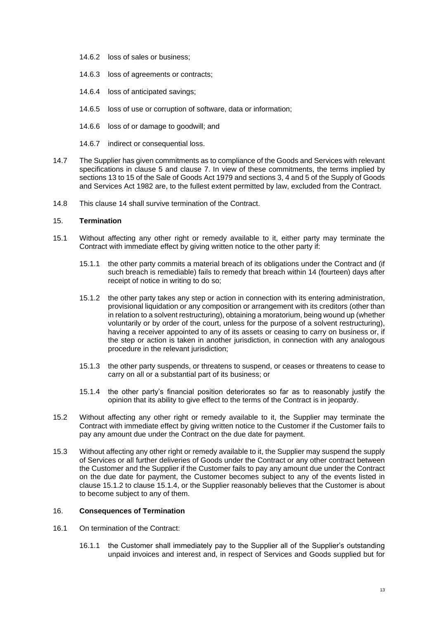- 14.6.2 loss of sales or business;
- 14.6.3 loss of agreements or contracts;
- 14.6.4 loss of anticipated savings;
- 14.6.5 loss of use or corruption of software, data or information;
- 14.6.6 loss of or damage to goodwill; and
- 14.6.7 indirect or consequential loss.
- 14.7 The Supplier has given commitments as to compliance of the Goods and Services with relevant specifications in clause [5](#page-4-4) and clause [7.](#page-7-1) In view of these commitments, the terms implied by sections 13 to 15 of the Sale of Goods Act 1979 and sections 3, 4 and 5 of the Supply of Goods and Services Act 1982 are, to the fullest extent permitted by law, excluded from the Contract.
- 14.8 This clause [14](#page-11-0) shall survive termination of the Contract.

## <span id="page-12-2"></span>15. **Termination**

- <span id="page-12-0"></span>15.1 Without affecting any other right or remedy available to it, either party may terminate the Contract with immediate effect by giving written notice to the other party if:
	- 15.1.1 the other party commits a material breach of its obligations under the Contract and (if such breach is remediable) fails to remedy that breach within 14 (fourteen) days after receipt of notice in writing to do so;
	- 15.1.2 the other party takes any step or action in connection with its entering administration, provisional liquidation or any composition or arrangement with its creditors (other than in relation to a solvent restructuring), obtaining a moratorium, being wound up (whether voluntarily or by order of the court, unless for the purpose of a solvent restructuring), having a receiver appointed to any of its assets or ceasing to carry on business or, if the step or action is taken in another jurisdiction, in connection with any analogous procedure in the relevant jurisdiction;
	- 15.1.3 the other party suspends, or threatens to suspend, or ceases or threatens to cease to carry on all or a substantial part of its business; or
	- 15.1.4 the other party's financial position deteriorates so far as to reasonably justify the opinion that its ability to give effect to the terms of the Contract is in jeopardy.
- <span id="page-12-1"></span>15.2 Without affecting any other right or remedy available to it, the Supplier may terminate the Contract with immediate effect by giving written notice to the Customer if the Customer fails to pay any amount due under the Contract on the due date for payment.
- 15.3 Without affecting any other right or remedy available to it, the Supplier may suspend the supply of Services or all further deliveries of Goods under the Contract or any other contract between the Customer and the Supplier if the Customer fails to pay any amount due under the Contract on the due date for payment, the Customer becomes subject to any of the events listed in clause [15.1.2](#page-12-0) to clause [15.1.4,](#page-12-1) or the Supplier reasonably believes that the Customer is about to become subject to any of them.

# 16. **Consequences of Termination**

- 16.1 On termination of the Contract:
	- 16.1.1 the Customer shall immediately pay to the Supplier all of the Supplier's outstanding unpaid invoices and interest and, in respect of Services and Goods supplied but for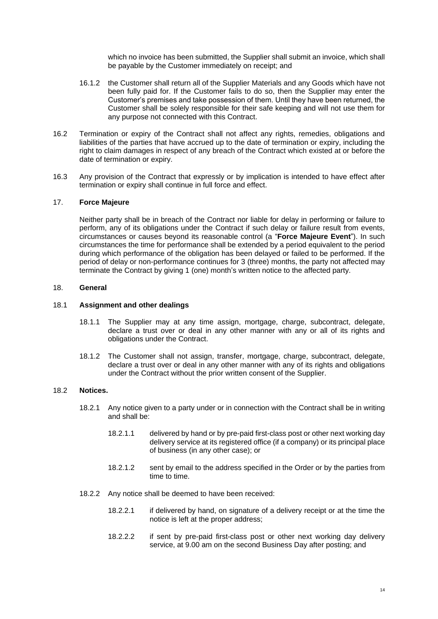which no invoice has been submitted, the Supplier shall submit an invoice, which shall be payable by the Customer immediately on receipt; and

- 16.1.2 the Customer shall return all of the Supplier Materials and any Goods which have not been fully paid for. If the Customer fails to do so, then the Supplier may enter the Customer's premises and take possession of them. Until they have been returned, the Customer shall be solely responsible for their safe keeping and will not use them for any purpose not connected with this Contract.
- 16.2 Termination or expiry of the Contract shall not affect any rights, remedies, obligations and liabilities of the parties that have accrued up to the date of termination or expiry, including the right to claim damages in respect of any breach of the Contract which existed at or before the date of termination or expiry.
- 16.3 Any provision of the Contract that expressly or by implication is intended to have effect after termination or expiry shall continue in full force and effect.

## <span id="page-13-0"></span>17. **Force Majeure**

Neither party shall be in breach of the Contract nor liable for delay in performing or failure to perform, any of its obligations under the Contract if such delay or failure result from events, circumstances or causes beyond its reasonable control (a "**Force Majeure Event**"). In such circumstances the time for performance shall be extended by a period equivalent to the period during which performance of the obligation has been delayed or failed to be performed. If the period of delay or non-performance continues for 3 (three) months, the party not affected may terminate the Contract by giving 1 (one) month's written notice to the affected party.

### 18. **General**

### 18.1 **Assignment and other dealings**

- 18.1.1 The Supplier may at any time assign, mortgage, charge, subcontract, delegate, declare a trust over or deal in any other manner with any or all of its rights and obligations under the Contract.
- 18.1.2 The Customer shall not assign, transfer, mortgage, charge, subcontract, delegate, declare a trust over or deal in any other manner with any of its rights and obligations under the Contract without the prior written consent of the Supplier.

### 18.2 **Notices.**

- 18.2.1 Any notice given to a party under or in connection with the Contract shall be in writing and shall be:
	- 18.2.1.1 delivered by hand or by pre-paid first-class post or other next working day delivery service at its registered office (if a company) or its principal place of business (in any other case); or
	- 18.2.1.2 sent by email to the address specified in the Order or by the parties from time to time.
- 18.2.2 Any notice shall be deemed to have been received:
	- 18.2.2.1 if delivered by hand, on signature of a delivery receipt or at the time the notice is left at the proper address;
	- 18.2.2.2 if sent by pre-paid first-class post or other next working day delivery service, at 9.00 am on the second Business Day after posting; and